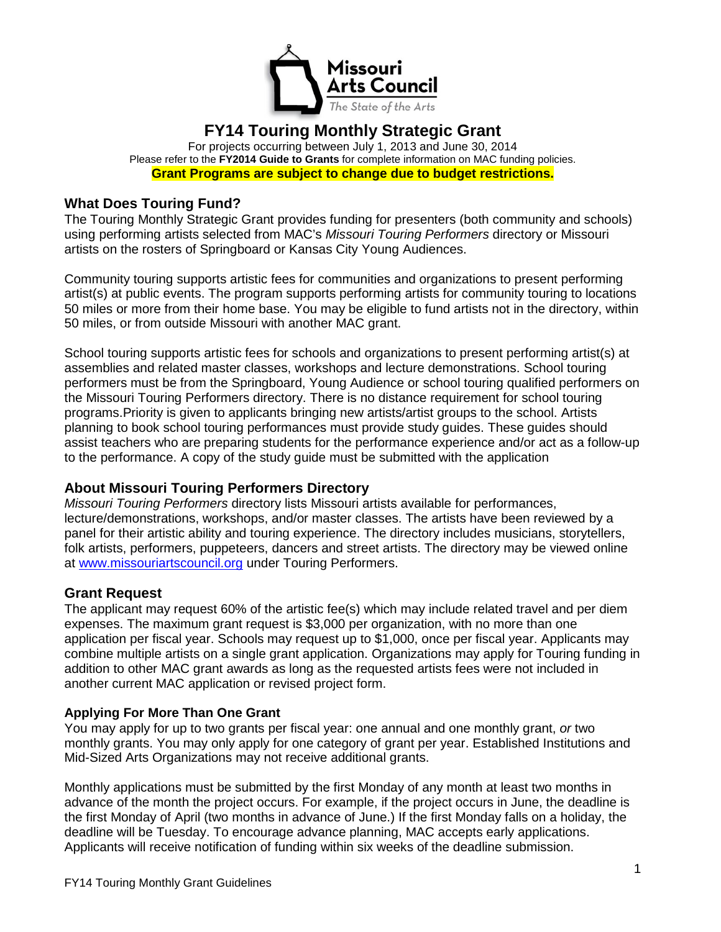

# **FY14 Touring Monthly Strategic Grant**

For projects occurring between July 1, 2013 and June 30, 2014 Please refer to the **FY2014 Guide to Grants** for complete information on MAC funding policies. **Grant Programs are subject to change due to budget restrictions.**

## **What Does Touring Fund?**

The Touring Monthly Strategic Grant provides funding for presenters (both community and schools) using performing artists selected from MAC's *Missouri Touring Performers* directory or Missouri artists on the rosters of Springboard or Kansas City Young Audiences.

Community touring supports artistic fees for communities and organizations to present performing artist(s) at public events. The program supports performing artists for community touring to locations 50 miles or more from their home base. You may be eligible to fund artists not in the directory, within 50 miles, or from outside Missouri with another MAC grant.

School touring supports artistic fees for schools and organizations to present performing artist(s) at assemblies and related master classes, workshops and lecture demonstrations. School touring performers must be from the Springboard, Young Audience or school touring qualified performers on the Missouri Touring Performers directory. There is no distance requirement for school touring programs.Priority is given to applicants bringing new artists/artist groups to the school. Artists planning to book school touring performances must provide study guides. These guides should assist teachers who are preparing students for the performance experience and/or act as a follow-up to the performance. A copy of the study guide must be submitted with the application

## **About Missouri Touring Performers Directory**

*Missouri Touring Performers* directory lists Missouri artists available for performances, lecture/demonstrations, workshops, and/or master classes. The artists have been reviewed by a panel for their artistic ability and touring experience. The directory includes musicians, storytellers, folk artists, performers, puppeteers, dancers and street artists. The directory may be viewed online at [www.missouriartscouncil.org](http://www.missouriartscouncil.org/) under Touring Performers.

#### **Grant Request**

The applicant may request 60% of the artistic fee(s) which may include related travel and per diem expenses. The maximum grant request is \$3,000 per organization, with no more than one application per fiscal year. Schools may request up to \$1,000, once per fiscal year. Applicants may combine multiple artists on a single grant application. Organizations may apply for Touring funding in addition to other MAC grant awards as long as the requested artists fees were not included in another current MAC application or revised project form.

#### **Applying For More Than One Grant**

You may apply for up to two grants per fiscal year: one annual and one monthly grant, *or* two monthly grants. You may only apply for one category of grant per year. Established Institutions and Mid-Sized Arts Organizations may not receive additional grants.

Monthly applications must be submitted by the first Monday of any month at least two months in advance of the month the project occurs. For example, if the project occurs in June, the deadline is the first Monday of April (two months in advance of June.) If the first Monday falls on a holiday, the deadline will be Tuesday. To encourage advance planning, MAC accepts early applications. Applicants will receive notification of funding within six weeks of the deadline submission.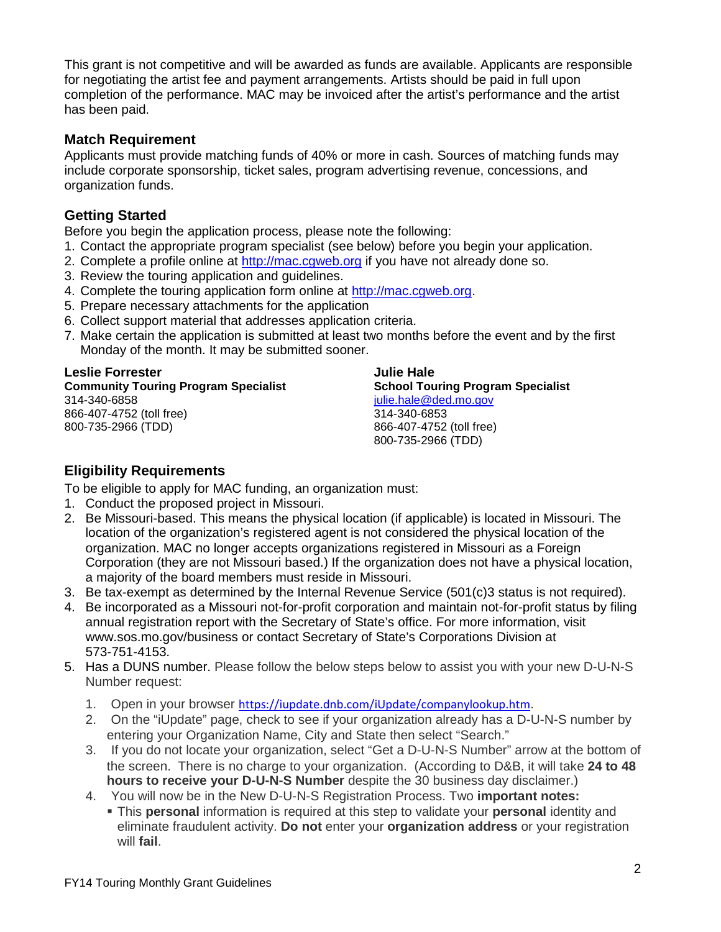This grant is not competitive and will be awarded as funds are available. Applicants are responsible for negotiating the artist fee and payment arrangements. Artists should be paid in full upon completion of the performance. MAC may be invoiced after the artist's performance and the artist has been paid.

#### **Match Requirement**

Applicants must provide matching funds of 40% or more in cash. Sources of matching funds may include corporate sponsorship, ticket sales, program advertising revenue, concessions, and organization funds.

## **Getting Started**

Before you begin the application process, please note the following:

- 1. Contact the appropriate program specialist (see below) before you begin your application.
- 2. Complete a profile online at [http://mac.cgweb.org](http://mac.cgweb.org/) if you have not already done so.
- 3. Review the touring application and guidelines.
- 4. Complete the touring application form online at [http://mac.cgweb.org.](http://mac.cgweb.org/)
- 5. Prepare necessary attachments for the application
- 6. Collect support material that addresses application criteria.
- 7. Make certain the application is submitted at least two months before the event and by the first Monday of the month. It may be submitted sooner.

## **Leslie Forrester**

**Community Touring Program Specialist** 314-340-6858 866-407-4752 (toll free) 800-735-2966 (TDD)

**Julie Hale School Touring Program Specialist** [julie.hale@ded.mo.gov](mailto:julie.hale@ded.mo.gov) 314-340-6853 866-407-4752 (toll free) 800-735-2966 (TDD)

## **Eligibility Requirements**

To be eligible to apply for MAC funding, an organization must:

- 1. Conduct the proposed project in Missouri.
- 2. Be Missouri-based. This means the physical location (if applicable) is located in Missouri. The location of the organization's registered agent is not considered the physical location of the organization. MAC no longer accepts organizations registered in Missouri as a Foreign Corporation (they are not Missouri based.) If the organization does not have a physical location, a majority of the board members must reside in Missouri.
- 3. Be tax-exempt as determined by the Internal Revenue Service (501(c)3 status is not required).
- 4. Be incorporated as a Missouri not-for-profit corporation and maintain not-for-profit status by filing annual registration report with the Secretary of State's office. For more information, visit www.sos.mo.gov/business or contact Secretary of State's Corporations Division at 573-751-4153.
- 5. Has a DUNS number. Please follow the below steps below to assist you with your new D-U-N-S Number request:
	- 1. Open in your browser <https://iupdate.dnb.com/iUpdate/companylookup.htm>.
	- 2. On the "iUpdate" page, check to see if your organization already has a D-U-N-S number by entering your Organization Name, City and State then select "Search."
	- 3. If you do not locate your organization, select "Get a D-U-N-S Number" arrow at the bottom of the screen. There is no charge to your organization. (According to D&B, it will take **24 to 48 hours to receive your D-U-N-S Number** despite the 30 business day disclaimer.)
	- 4. You will now be in the New D-U-N-S Registration Process. Two **important notes:**
		- This **personal** information is required at this step to validate your **personal** identity and eliminate fraudulent activity. **Do not** enter your **organization address** or your registration will **fail**.